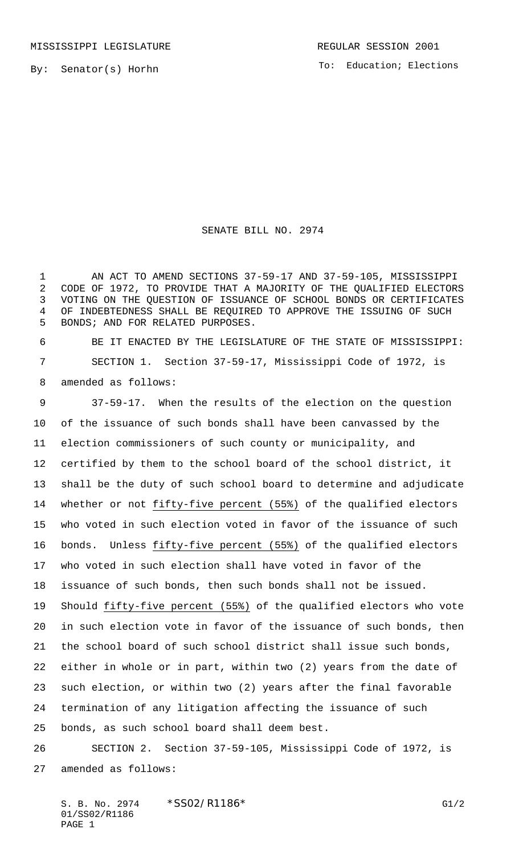By: Senator(s) Horhn

To: Education; Elections

## SENATE BILL NO. 2974

1 AN ACT TO AMEND SECTIONS 37-59-17 AND 37-59-105, MISSISSIPPI CODE OF 1972, TO PROVIDE THAT A MAJORITY OF THE QUALIFIED ELECTORS VOTING ON THE QUESTION OF ISSUANCE OF SCHOOL BONDS OR CERTIFICATES OF INDEBTEDNESS SHALL BE REQUIRED TO APPROVE THE ISSUING OF SUCH BONDS; AND FOR RELATED PURPOSES.

 BE IT ENACTED BY THE LEGISLATURE OF THE STATE OF MISSISSIPPI: SECTION 1. Section 37-59-17, Mississippi Code of 1972, is amended as follows:

 37-59-17. When the results of the election on the question of the issuance of such bonds shall have been canvassed by the election commissioners of such county or municipality, and certified by them to the school board of the school district, it shall be the duty of such school board to determine and adjudicate 14 whether or not fifty-five percent (55%) of the qualified electors who voted in such election voted in favor of the issuance of such bonds. Unless fifty-five percent (55%) of the qualified electors who voted in such election shall have voted in favor of the issuance of such bonds, then such bonds shall not be issued. Should fifty-five percent (55%) of the qualified electors who vote in such election vote in favor of the issuance of such bonds, then the school board of such school district shall issue such bonds, either in whole or in part, within two (2) years from the date of such election, or within two (2) years after the final favorable termination of any litigation affecting the issuance of such bonds, as such school board shall deem best.

 SECTION 2. Section 37-59-105, Mississippi Code of 1972, is amended as follows:

S. B. No. 2974 \* SSO2/R1186\* G1/2 01/SS02/R1186 PAGE 1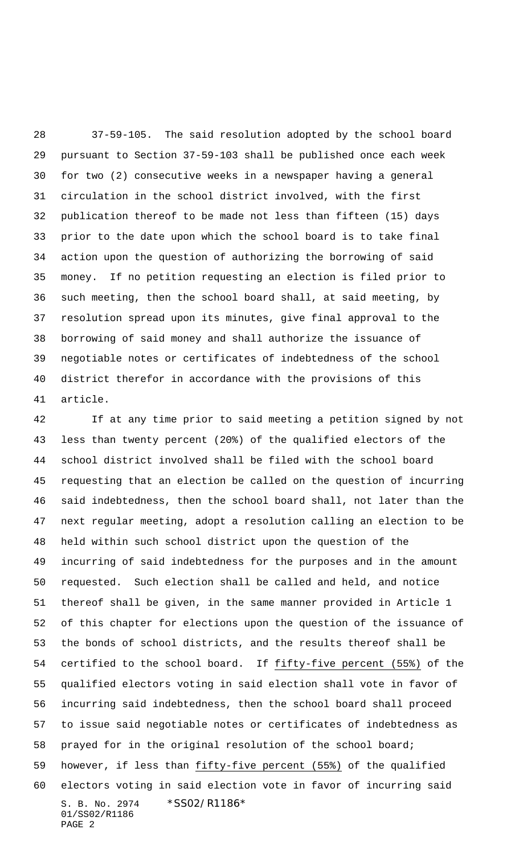37-59-105. The said resolution adopted by the school board pursuant to Section 37-59-103 shall be published once each week for two (2) consecutive weeks in a newspaper having a general circulation in the school district involved, with the first publication thereof to be made not less than fifteen (15) days prior to the date upon which the school board is to take final action upon the question of authorizing the borrowing of said money. If no petition requesting an election is filed prior to such meeting, then the school board shall, at said meeting, by resolution spread upon its minutes, give final approval to the borrowing of said money and shall authorize the issuance of negotiable notes or certificates of indebtedness of the school district therefor in accordance with the provisions of this article.

S. B. No. 2974 \* SS02/R1186\* 01/SS02/R1186 PAGE 2 If at any time prior to said meeting a petition signed by not less than twenty percent (20%) of the qualified electors of the school district involved shall be filed with the school board requesting that an election be called on the question of incurring said indebtedness, then the school board shall, not later than the next regular meeting, adopt a resolution calling an election to be held within such school district upon the question of the incurring of said indebtedness for the purposes and in the amount requested. Such election shall be called and held, and notice thereof shall be given, in the same manner provided in Article 1 of this chapter for elections upon the question of the issuance of the bonds of school districts, and the results thereof shall be certified to the school board. If fifty-five percent (55%) of the qualified electors voting in said election shall vote in favor of incurring said indebtedness, then the school board shall proceed to issue said negotiable notes or certificates of indebtedness as prayed for in the original resolution of the school board; however, if less than fifty-five percent (55%) of the qualified electors voting in said election vote in favor of incurring said